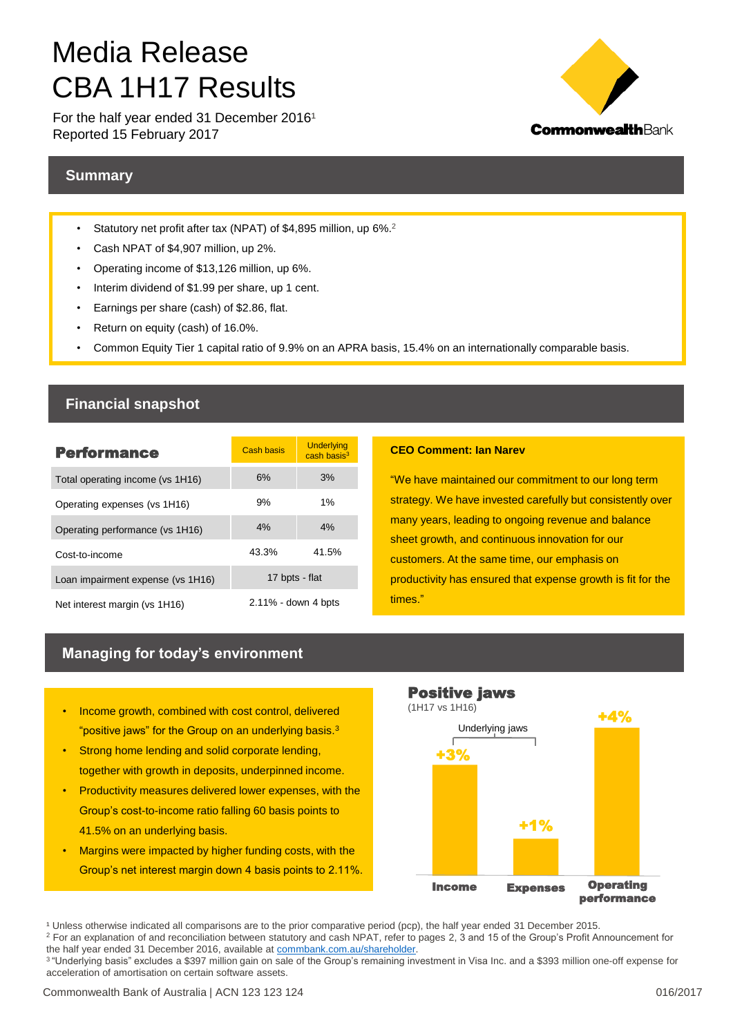# Media Release CBA 1H17 Results

For the half year ended 31 December  $2016<sup>1</sup>$ Reported 15 February 2017



## **Summary**

- Statutory net profit after tax (NPAT) of \$4,895 million, up 6%.<sup>2</sup>
- Cash NPAT of \$4,907 million, up 2%.
- Operating income of \$13,126 million, up 6%.
- Interim dividend of \$1.99 per share, up 1 cent.
- Earnings per share (cash) of \$2.86, flat.
- Return on equity (cash) of 16.0%.
- Common Equity Tier 1 capital ratio of 9.9% on an APRA basis, 15.4% on an internationally comparable basis.

## **Financial snapshot**

| <b>Performance</b>                | <b>Cash basis</b>      | <b>Underlying</b><br>cash basis <sup>3</sup> |  |  |
|-----------------------------------|------------------------|----------------------------------------------|--|--|
| Total operating income (vs 1H16)  | 6%                     | 3%                                           |  |  |
| Operating expenses (vs 1H16)      | 9%                     | 1%                                           |  |  |
| Operating performance (vs 1H16)   | 4%                     | 4%                                           |  |  |
| Cost-to-income                    | 43.3%                  | 41.5%                                        |  |  |
| Loan impairment expense (vs 1H16) | 17 bpts - flat         |                                              |  |  |
| Net interest margin (vs 1H16)     | $2.11\%$ - down 4 bpts |                                              |  |  |

#### **CEO Comment: Ian Narev**

"We have maintained our commitment to our long term strategy. We have invested carefully but consistently over many years, leading to ongoing revenue and balance sheet growth, and continuous innovation for our customers. At the same time, our emphasis on productivity has ensured that expense growth is fit for the times."

## **Managing for today's environment**

- Income growth, combined with cost control, delivered "positive jaws" for the Group on an underlying basis.<sup>3</sup>
- Strong home lending and solid corporate lending, together with growth in deposits, underpinned income.
- Productivity measures delivered lower expenses, with the Group's cost-to-income ratio falling 60 basis points to 41.5% on an underlying basis.
- Margins were impacted by higher funding costs, with the Group's net interest margin down 4 basis points to 2.11%.



<sup>&</sup>lt;sup>1</sup> Unless otherwise indicated all comparisons are to the prior comparative period (pcp), the half year ended 31 December 2015.

<sup>2</sup> For an explanation of and reconciliation between statutory and cash NPAT, refer to pages 2, 3 and 15 of the Group's Profit Announcement for the half year ended 31 December 2016, available at [commbank.com.au/shareholder.](https://www.commbank.com.au/about-us/shareholders/financial-information/results.html)

<sup>3</sup> "Underlying basis" excludes a \$397 million gain on sale of the Group's remaining investment in Visa Inc. and a \$393 million one-off expense for acceleration of amortisation on certain software assets.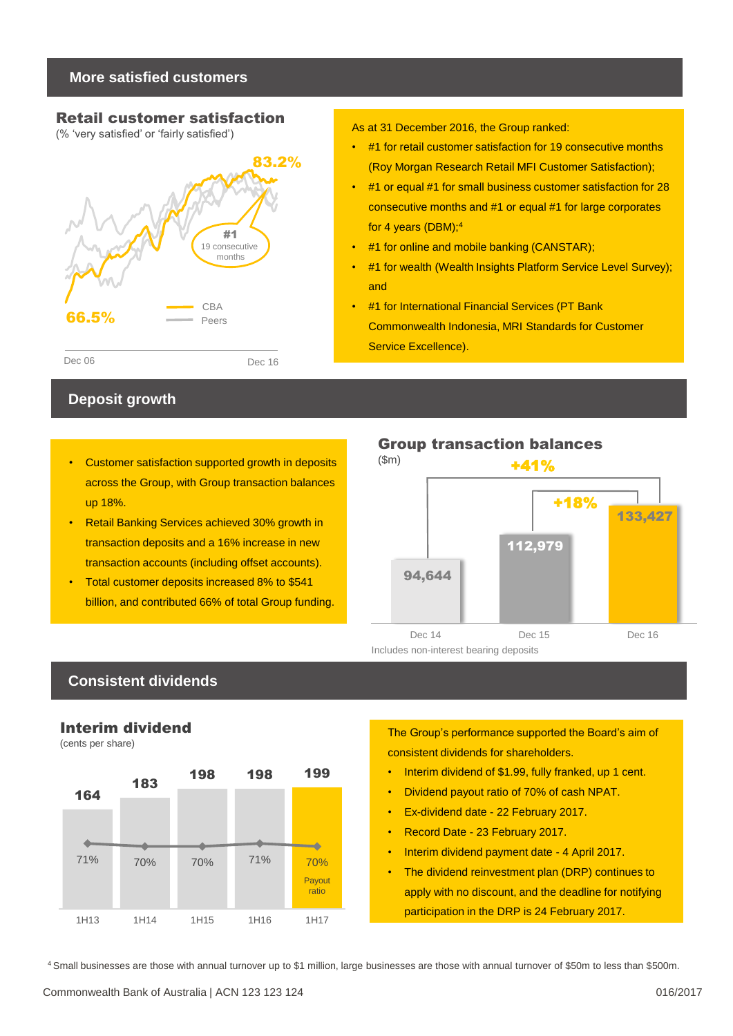## **More satisfied customers**

## Retail customer satisfaction

(% 'very satisfied' or 'fairly satisfied')



## **Deposit growth**

- Customer satisfaction supported growth in deposits (\$m) across the Group, with Group transaction balances up 18%.
- Retail Banking Services achieved 30% growth in transaction deposits and a 16% increase in new transaction accounts (including offset accounts).
- Total customer deposits increased 8% to \$541 billion, and contributed 66% of total Group funding.

As at 31 December 2016, the Group ranked:

- #1 for retail customer satisfaction for 19 consecutive months (Roy Morgan Research Retail MFI Customer Satisfaction);
- #1 or equal #1 for small business customer satisfaction for 28 consecutive months and #1 or equal #1 for large corporates for 4 years (DBM);<sup>4</sup>
- #1 for online and mobile banking (CANSTAR);
- #1 for wealth (Wealth Insights Platform Service Level Survey); and
- #1 for International Financial Services (PT Bank Commonwealth Indonesia, MRI Standards for Customer Service Excellence).



## **Consistent dividends**

## Interim dividend

(cents per share)



The Group's performance supported the Board's aim of consistent dividends for shareholders.

- Interim dividend of \$1.99, fully franked, up 1 cent.
- Dividend payout ratio of 70% of cash NPAT.
- Ex-dividend date 22 February 2017.
- Record Date 23 February 2017.
- Interim dividend payment date 4 April 2017.
- The dividend reinvestment plan (DRP) continues to apply with no discount, and the deadline for notifying participation in the DRP is 24 February 2017.

4 Small businesses are those with annual turnover up to \$1 million, large businesses are those with annual turnover of \$50m to less than \$500m.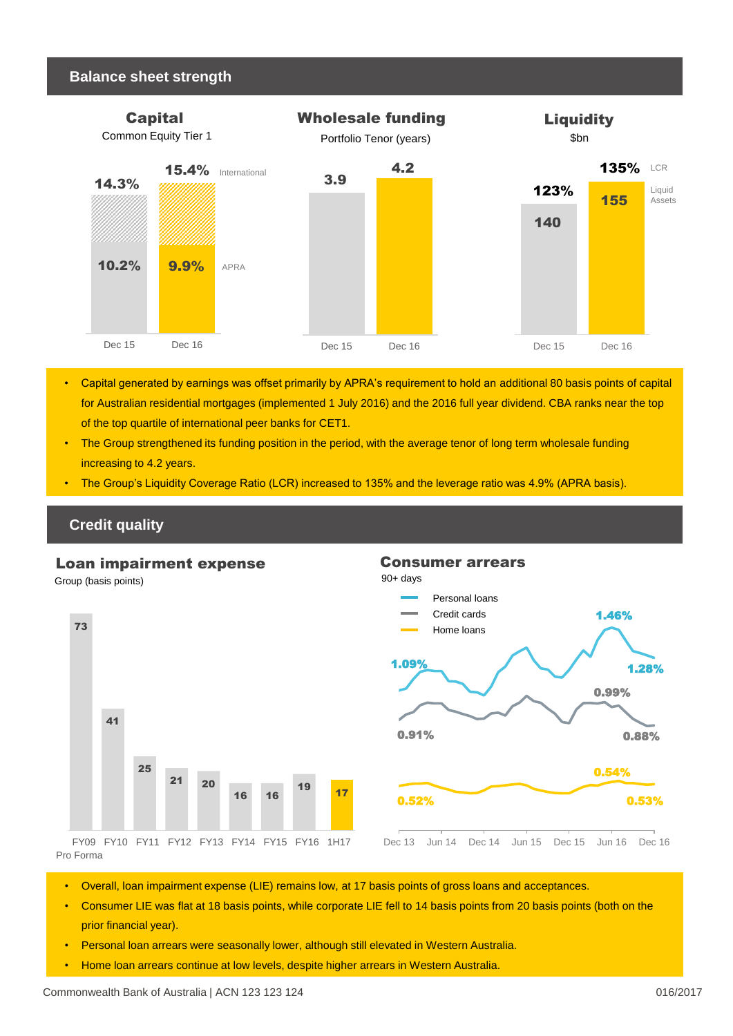#### **Balance sheet strength**



- Capital generated by earnings was offset primarily by APRA's requirement to hold an additional 80 basis points of capital for Australian residential mortgages (implemented 1 July 2016) and the 2016 full year dividend. CBA ranks near the top of the top quartile of international peer banks for CET1.
- The Group strengthened its funding position in the period, with the average tenor of long term wholesale funding increasing to 4.2 years.
- The Group's Liquidity Coverage Ratio (LCR) increased to 135% and the leverage ratio was 4.9% (APRA basis).

## **Credit quality**

#### Loan impairment expense

Group (basis points) 90+ days





Pro Forma

- Overall, loan impairment expense (LIE) remains low, at 17 basis points of gross loans and acceptances.
- Consumer LIE was flat at 18 basis points, while corporate LIE fell to 14 basis points from 20 basis points (both on the prior financial year).
- Personal loan arrears were seasonally lower, although still elevated in Western Australia.
- Home loan arrears continue at low levels, despite higher arrears in Western Australia.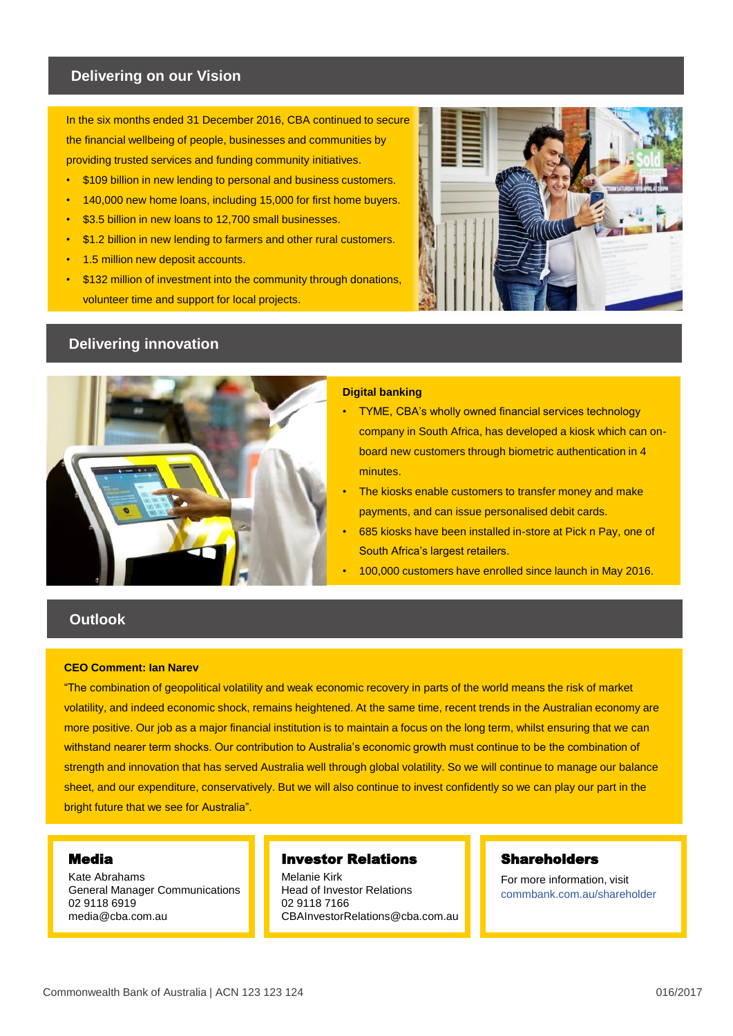#### **Delivering on our Vision**

In the six months ended 31 December 2016, CBA continued to secure the financial wellbeing of people, businesses and communities by providing trusted services and funding community initiatives.

- \$109 billion in new lending to personal and business customers.
- 140,000 new home loans, including 15,000 for first home buyers.
- \$3.5 billion in new loans to 12,700 small businesses.
- \$1.2 billion in new lending to farmers and other rural customers.
- 1.5 million new deposit accounts.
- \$132 million of investment into the community through donations. volunteer time and support for local projects.



# **Delivering innovation**



#### **Digital banking**

- TYME, CBA's wholly owned financial services technology company in South Africa, has developed a kiosk which can onboard new customers through biometric authentication in 4 minutes.
- The kiosks enable customers to transfer money and make payments, and can issue personalised debit cards.
- 685 kiosks have been installed in-store at Pick n Pay, one of South Africa's largest retailers.
- 100,000 customers have enrolled since launch in May 2016.

## **Outlook**

#### **CEO Comment: Ian Narev**

"The combination of geopolitical volatility and weak economic recovery in parts of the world means the risk of market volatility, and indeed economic shock, remains heightened. At the same time, recent trends in the Australian economy are more positive. Our job as a major financial institution is to maintain a focus on the long term, whilst ensuring that we can withstand nearer term shocks. Our contribution to Australia's economic growth must continue to be the combination of strength and innovation that has served Australia well through global volatility. So we will continue to manage our balance sheet, and our expenditure, conservatively. But we will also continue to invest confidently so we can play our part in the bright future that we see for Australia".

#### Media

Kate Abrahams General Manager Communications 02 9118 6919 media@cba.com.au

#### Investor Relations

Melanie Kirk Head of Investor Relations 02 9118 7166 CBAInvestorRelations@cba.com.au

#### **Shareholders**

For more information, visit commbank.com.au/shareholder